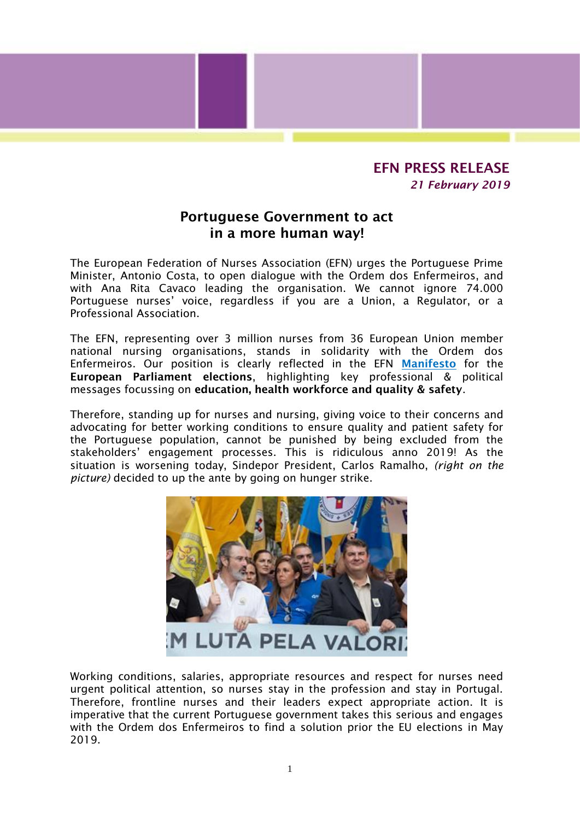## EFN PRESS RELEASE *21 February 2019*

## Portuguese Government to act in a more human way!

The European Federation of Nurses Association (EFN) urges the Portuguese Prime Minister, Antonio Costa, to open dialogue with the Ordem dos Enfermeiros, and with Ana Rita Cavaco leading the organisation. We cannot ignore 74.000 Portuguese nurses' voice, regardless if you are a Union, a Regulator, or a Professional Association.

The EFN, representing over 3 million nurses from 36 European Union member national nursing organisations, stands in solidarity with the Ordem dos Enfermeiros. Our position is clearly reflected in the EFN [Manifesto](http://www.efnweb.be/wp-content/uploads/EFN-European-Election-2019-Manifesto-Final.pdf) for the European Parliament elections, highlighting key professional & political messages focussing on education, health workforce and quality & safety.

Therefore, standing up for nurses and nursing, giving voice to their concerns and advocating for better working conditions to ensure quality and patient safety for the Portuguese population, cannot be punished by being excluded from the stakeholders' engagement processes. This is ridiculous anno 2019! As the situation is worsening today, Sindepor President, Carlos Ramalho, *(right on the picture)* decided to up the ante by going on hunger strike.



Working conditions, salaries, appropriate resources and respect for nurses need urgent political attention, so nurses stay in the profession and stay in Portugal. Therefore, frontline nurses and their leaders expect appropriate action. It is imperative that the current Portuguese government takes this serious and engages with the Ordem dos Enfermeiros to find a solution prior the EU elections in May 2019.